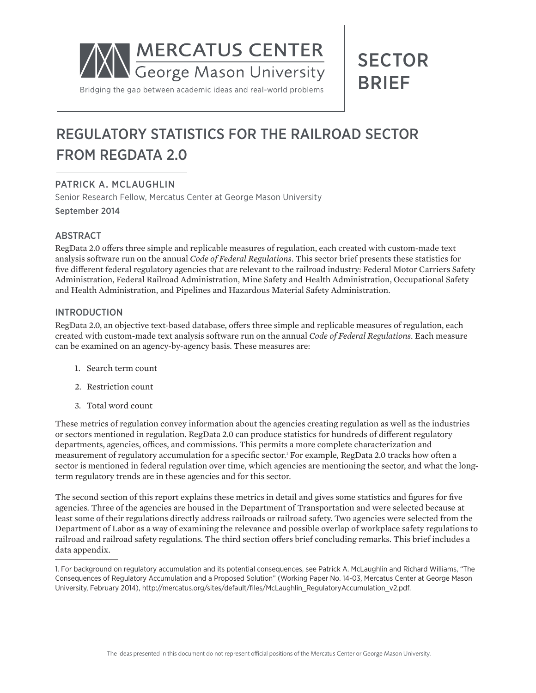

# **SECTOR BRIFF**

# REGULATORY STATISTICS FOR THE RAILROAD SECTOR FROM REGDATA 2.0

# PATRICK A. MCLAUGHLIN

Senior Research Fellow, Mercatus Center at George Mason University September 2014

# ABSTRACT

RegData 2.0 offers three simple and replicable measures of regulation, each created with custom-made text analysis software run on the annual *Code of Federal Regulations*. This sector brief presents these statistics for five different federal regulatory agencies that are relevant to the railroad industry: Federal Motor Carriers Safety Administration, Federal Railroad Administration, Mine Safety and Health Administration, Occupational Safety and Health Administration, and Pipelines and Hazardous Material Safety Administration.

#### INTRODUCTION

RegData 2.0, an objective text-based database, offers three simple and replicable measures of regulation, each created with custom-made text analysis software run on the annual *Code of Federal Regulations*. Each measure can be examined on an agency-by-agency basis. These measures are:

- 1. Search term count
- 2. Restriction count
- 3. Total word count

These metrics of regulation convey information about the agencies creating regulation as well as the industries or sectors mentioned in regulation. RegData 2.0 can produce statistics for hundreds of different regulatory departments, agencies, offices, and commissions. This permits a more complete characterization and measurement of regulatory accumulation for a specific sector.1 For example, RegData 2.0 tracks how often a sector is mentioned in federal regulation over time, which agencies are mentioning the sector, and what the longterm regulatory trends are in these agencies and for this sector.

The second section of this report explains these metrics in detail and gives some statistics and figures for five agencies. Three of the agencies are housed in the Department of Transportation and were selected because at least some of their regulations directly address railroads or railroad safety. Two agencies were selected from the Department of Labor as a way of examining the relevance and possible overlap of workplace safety regulations to railroad and railroad safety regulations. The third section offers brief concluding remarks. This brief includes a data appendix.

<sup>1.</sup> For background on regulatory accumulation and its potential consequences, see Patrick A. McLaughlin and Richard Williams, "The Consequences of Regulatory Accumulation and a Proposed Solution" (Working Paper No. 14-03, Mercatus Center at George Mason University, February 2014), http://mercatus.org/sites/default/files/McLaughlin\_RegulatoryAccumulation\_v2.pdf.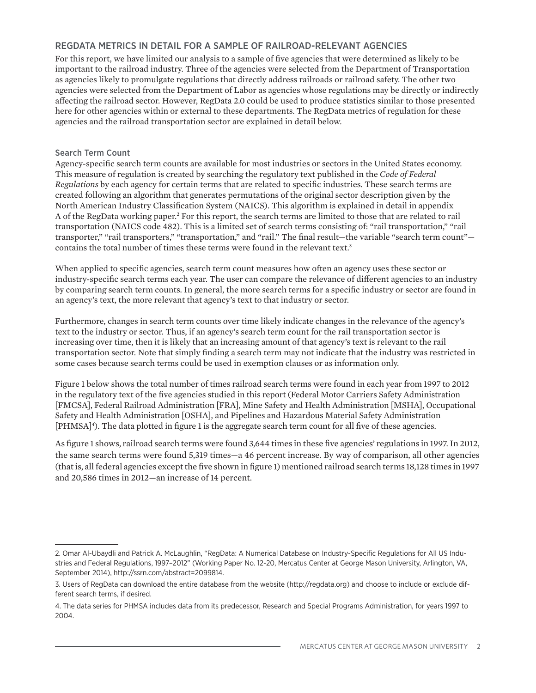# REGDATA METRICS IN DETAIL FOR A SAMPLE OF RAILROAD-RELEVANT AGENCIES

For this report, we have limited our analysis to a sample of five agencies that were determined as likely to be important to the railroad industry. Three of the agencies were selected from the Department of Transportation as agencies likely to promulgate regulations that directly address railroads or railroad safety. The other two agencies were selected from the Department of Labor as agencies whose regulations may be directly or indirectly affecting the railroad sector. However, RegData 2.0 could be used to produce statistics similar to those presented here for other agencies within or external to these departments. The RegData metrics of regulation for these agencies and the railroad transportation sector are explained in detail below.

#### Search Term Count

Agency-specific search term counts are available for most industries or sectors in the United States economy. This measure of regulation is created by searching the regulatory text published in the *Code of Federal Regulations* by each agency for certain terms that are related to specific industries. These search terms are created following an algorithm that generates permutations of the original sector description given by the North American Industry Classification System (NAICS). This algorithm is explained in detail in appendix A of the RegData working paper.<sup>2</sup> For this report, the search terms are limited to those that are related to rail transportation (NAICS code 482). This is a limited set of search terms consisting of: "rail transportation," "rail transporter," "rail transporters," "transportation," and "rail." The final result—the variable "search term count" contains the total number of times these terms were found in the relevant text.<sup>3</sup>

When applied to specific agencies, search term count measures how often an agency uses these sector or industry-specific search terms each year. The user can compare the relevance of different agencies to an industry by comparing search term counts. In general, the more search terms for a specific industry or sector are found in an agency's text, the more relevant that agency's text to that industry or sector.

Furthermore, changes in search term counts over time likely indicate changes in the relevance of the agency's text to the industry or sector. Thus, if an agency's search term count for the rail transportation sector is increasing over time, then it is likely that an increasing amount of that agency's text is relevant to the rail transportation sector. Note that simply finding a search term may not indicate that the industry was restricted in some cases because search terms could be used in exemption clauses or as information only.

Figure 1 below shows the total number of times railroad search terms were found in each year from 1997 to 2012 in the regulatory text of the five agencies studied in this report (Federal Motor Carriers Safety Administration [FMCSA], Federal Railroad Administration [FRA], Mine Safety and Health Administration [MSHA], Occupational Safety and Health Administration [OSHA], and Pipelines and Hazardous Material Safety Administration [PHMSA]4 ). The data plotted in figure 1 is the aggregate search term count for all five of these agencies.

As figure 1 shows, railroad search terms were found 3,644 times in these five agencies' regulations in 1997. In 2012, the same search terms were found 5,319 times—a 46 percent increase. By way of comparison, all other agencies (that is, all federal agencies except the five shown in figure 1) mentioned railroad search terms 18,128 times in 1997 and 20,586 times in 2012—an increase of 14 percent.

<sup>2.</sup> Omar Al-Ubaydli and Patrick A. McLaughlin, "RegData: A Numerical Database on Industry-Specific Regulations for All US Industries and Federal Regulations, 1997–2012" (Working Paper No. 12-20, Mercatus Center at George Mason University, Arlington, VA, September 2014), http://ssrn.com/abstract=2099814.

<sup>3.</sup> Users of RegData can download the entire database from the website (http://regdata.org) and choose to include or exclude different search terms, if desired.

<sup>4.</sup> The data series for PHMSA includes data from its predecessor, Research and Special Programs Administration, for years 1997 to 2004.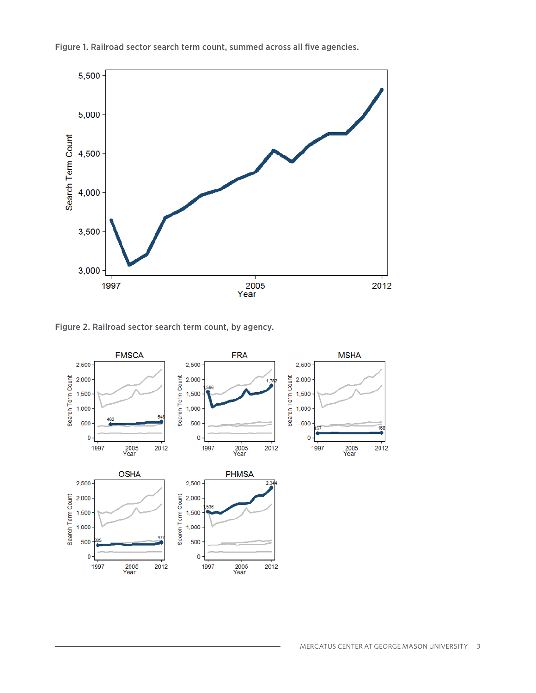

Figure 1. Railroad sector search term count, summed across all five agencies.

Figure 2. Railroad sector search term count, by agency.

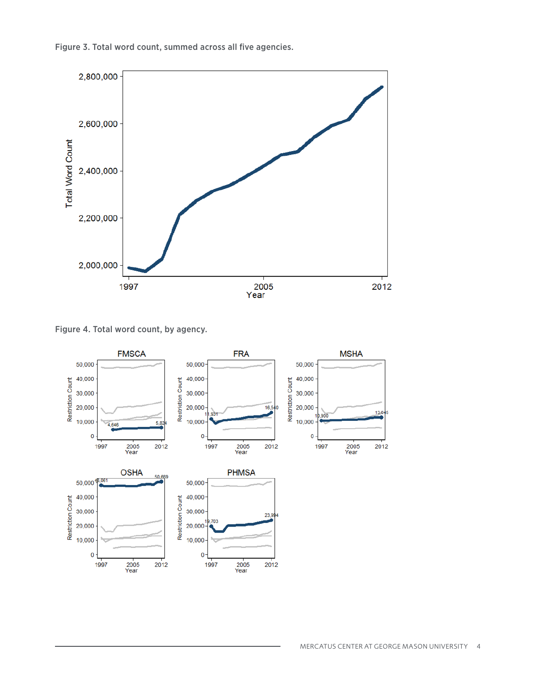



Figure 4. Total word count, by agency.

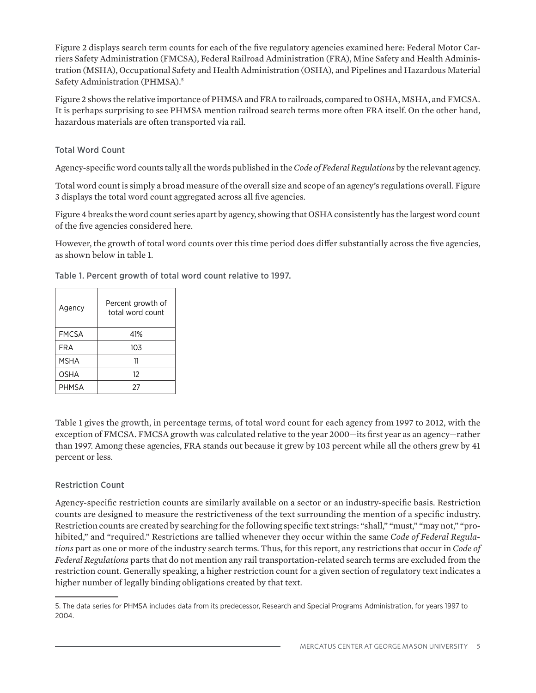Figure 2 displays search term counts for each of the five regulatory agencies examined here: Federal Motor Carriers Safety Administration (FMCSA), Federal Railroad Administration (FRA), Mine Safety and Health Administration (MSHA), Occupational Safety and Health Administration (OSHA), and Pipelines and Hazardous Material Safety Administration (PHMSA).5

Figure 2 shows the relative importance of PHMSA and FRA to railroads, compared to OSHA, MSHA, and FMCSA. It is perhaps surprising to see PHMSA mention railroad search terms more often FRA itself. On the other hand, hazardous materials are often transported via rail.

#### Total Word Count

Agency-specific word counts tally all the words published in the *Code of Federal Regulations* by the relevant agency.

Total word count is simply a broad measure of the overall size and scope of an agency's regulations overall. Figure 3 displays the total word count aggregated across all five agencies.

Figure 4 breaks the word count series apart by agency, showing that OSHA consistently has the largest word count of the five agencies considered here.

However, the growth of total word counts over this time period does differ substantially across the five agencies, as shown below in table 1.

| Agency       | Percent growth of<br>total word count |
|--------------|---------------------------------------|
| <b>FMCSA</b> | 41%                                   |
| FRA          | 103                                   |
| MSHA         | 11                                    |
| OSHA         | 12                                    |
| PHMSA        | 27                                    |
|              |                                       |

Table 1. Percent growth of total word count relative to 1997.

Table 1 gives the growth, in percentage terms, of total word count for each agency from 1997 to 2012, with the exception of FMCSA. FMCSA growth was calculated relative to the year 2000—its first year as an agency—rather than 1997. Among these agencies, FRA stands out because it grew by 103 percent while all the others grew by 41 percent or less.

# Restriction Count

Agency-specific restriction counts are similarly available on a sector or an industry-specific basis. Restriction counts are designed to measure the restrictiveness of the text surrounding the mention of a specific industry. Restriction counts are created by searching for the following specific text strings: "shall," "must," "may not," "prohibited," and "required." Restrictions are tallied whenever they occur within the same *Code of Federal Regulations* part as one or more of the industry search terms. Thus, for this report, any restrictions that occur in *Code of Federal Regulations* parts that do not mention any rail transportation-related search terms are excluded from the restriction count. Generally speaking, a higher restriction count for a given section of regulatory text indicates a higher number of legally binding obligations created by that text.

<sup>5.</sup> The data series for PHMSA includes data from its predecessor, Research and Special Programs Administration, for years 1997 to 2004.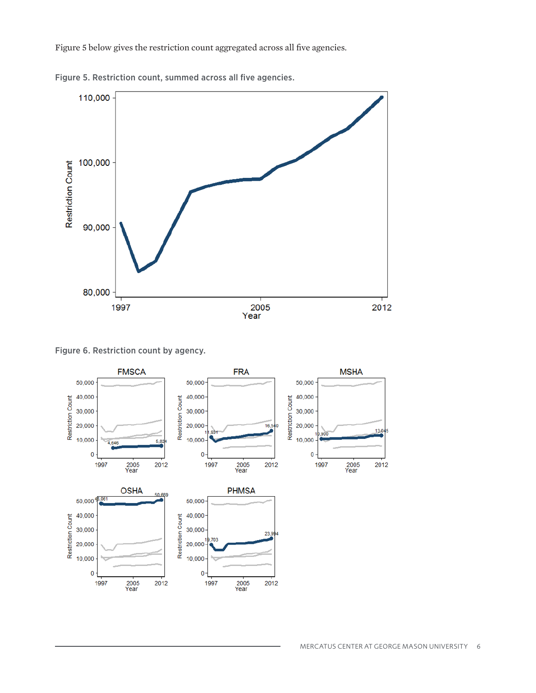Figure 5 below gives the restriction count aggregated across all five agencies.



Figure 5. Restriction count, summed across all five agencies.

Figure 6. Restriction count by agency.

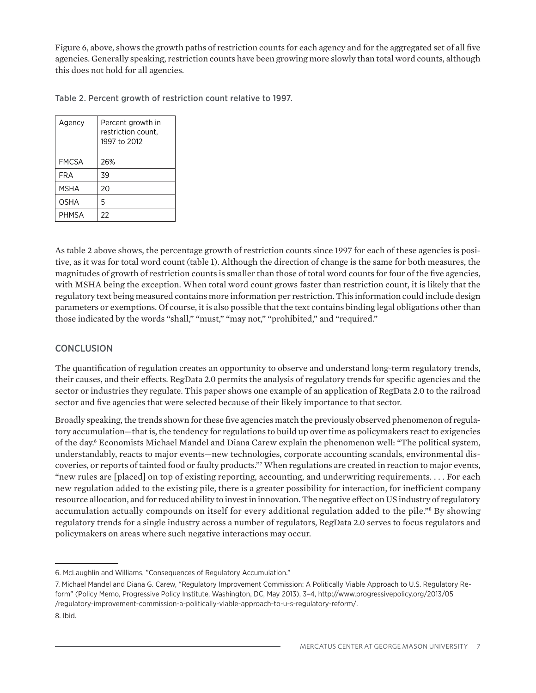Figure 6, above, shows the growth paths of restriction counts for each agency and for the aggregated set of all five agencies. Generally speaking, restriction counts have been growing more slowly than total word counts, although this does not hold for all agencies.

Table 2. Percent growth of restriction count relative to 1997.

| Agency       | Percent growth in<br>restriction count,<br>1997 to 2012 |
|--------------|---------------------------------------------------------|
| <b>FMCSA</b> | 26%                                                     |
| FRA          | 39                                                      |
| MSHA         | 20                                                      |
| <b>OSHA</b>  | 5                                                       |
| PHMSA        | 22                                                      |

As table 2 above shows, the percentage growth of restriction counts since 1997 for each of these agencies is positive, as it was for total word count (table 1). Although the direction of change is the same for both measures, the magnitudes of growth of restriction counts is smaller than those of total word counts for four of the five agencies, with MSHA being the exception. When total word count grows faster than restriction count, it is likely that the regulatory text being measured contains more information per restriction. This information could include design parameters or exemptions. Of course, it is also possible that the text contains binding legal obligations other than those indicated by the words "shall," "must," "may not," "prohibited," and "required."

### **CONCLUSION**

The quantification of regulation creates an opportunity to observe and understand long-term regulatory trends, their causes, and their effects. RegData 2.0 permits the analysis of regulatory trends for specific agencies and the sector or industries they regulate. This paper shows one example of an application of RegData 2.0 to the railroad sector and five agencies that were selected because of their likely importance to that sector.

Broadly speaking, the trends shown for these five agencies match the previously observed phenomenon of regulatory accumulation—that is, the tendency for regulations to build up over time as policymakers react to exigencies of the day.6 Economists Michael Mandel and Diana Carew explain the phenomenon well: "The political system, understandably, reacts to major events—new technologies, corporate accounting scandals, environmental discoveries, or reports of tainted food or faulty products."7 When regulations are created in reaction to major events, "new rules are [placed] on top of existing reporting, accounting, and underwriting requirements. . . . For each new regulation added to the existing pile, there is a greater possibility for interaction, for inefficient company resource allocation, and for reduced ability to invest in innovation. The negative effect on US industry of regulatory accumulation actually compounds on itself for every additional regulation added to the pile."<sup>8</sup> By showing regulatory trends for a single industry across a number of regulators, RegData 2.0 serves to focus regulators and policymakers on areas where such negative interactions may occur.

<sup>6.</sup> McLaughlin and Williams, "Consequences of Regulatory Accumulation."

<sup>7.</sup> Michael Mandel and Diana G. Carew, "Regulatory Improvement Commission: A Politically Viable Approach to U.S. Regulatory Reform" (Policy Memo, Progressive Policy Institute, Washington, DC, May 2013), 3–4, http://www.progressivepolicy.org/2013/05 /regulatory-improvement-commission-a-politically-viable-approach-to-u-s-regulatory-reform/.

<sup>8.</sup> Ibid.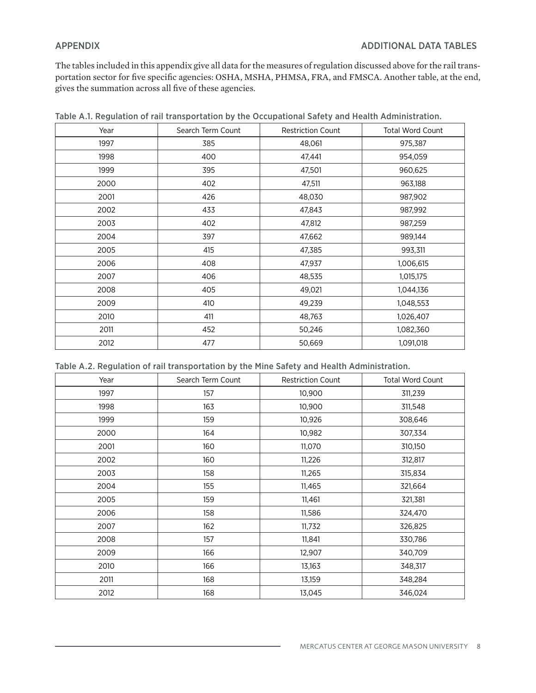The tables included in this appendix give all data for the measures of regulation discussed above for the rail transportation sector for five specific agencies: OSHA, MSHA, PHMSA, FRA, and FMSCA. Another table, at the end, gives the summation across all five of these agencies.

| Year | Search Term Count | <b>Restriction Count</b> | <b>Total Word Count</b> |
|------|-------------------|--------------------------|-------------------------|
| 1997 | 385               | 48,061                   | 975,387                 |
| 1998 | 400               | 47,441                   | 954,059                 |
| 1999 | 395               | 47,501                   | 960,625                 |
| 2000 | 402               | 47,511                   | 963,188                 |
| 2001 | 426               | 48,030                   | 987,902                 |
| 2002 | 433               | 47,843                   | 987,992                 |
| 2003 | 402               | 47,812                   | 987,259                 |
| 2004 | 397               | 47,662                   | 989,144                 |
| 2005 | 415               | 47,385                   | 993,311                 |
| 2006 | 408               | 47,937                   | 1,006,615               |
| 2007 | 406               | 48,535                   | 1,015,175               |
| 2008 | 405               | 49,021                   | 1,044,136               |
| 2009 | 410               | 49,239                   | 1,048,553               |
| 2010 | 411               | 48,763                   | 1,026,407               |
| 2011 | 452               | 50,246                   | 1,082,360               |
| 2012 | 477               | 50,669                   | 1,091,018               |

Table A.1. Regulation of rail transportation by the Occupational Safety and Health Administration.

|  |  |  | Table A.2. Regulation of rail transportation by the Mine Safety and Health Administration. |
|--|--|--|--------------------------------------------------------------------------------------------|
|--|--|--|--------------------------------------------------------------------------------------------|

| Year | Search Term Count | <b>Restriction Count</b> | <b>Total Word Count</b> |
|------|-------------------|--------------------------|-------------------------|
| 1997 | 157               | 10,900                   | 311,239                 |
| 1998 | 163               | 10,900                   | 311,548                 |
| 1999 | 159               | 10,926                   | 308,646                 |
| 2000 | 164               | 10,982                   | 307,334                 |
| 2001 | 160               | 11,070                   | 310,150                 |
| 2002 | 160               | 11,226                   | 312,817                 |
| 2003 | 158               | 11,265                   | 315,834                 |
| 2004 | 155               | 11,465                   | 321,664                 |
| 2005 | 159               | 11,461                   | 321,381                 |
| 2006 | 158               | 11,586                   | 324,470                 |
| 2007 | 162               | 11,732                   | 326,825                 |
| 2008 | 157               | 11,841                   | 330,786                 |
| 2009 | 166               | 12,907                   | 340,709                 |
| 2010 | 166               | 13,163                   | 348,317                 |
| 2011 | 168               | 13,159                   | 348,284                 |
| 2012 | 168               | 13,045                   | 346,024                 |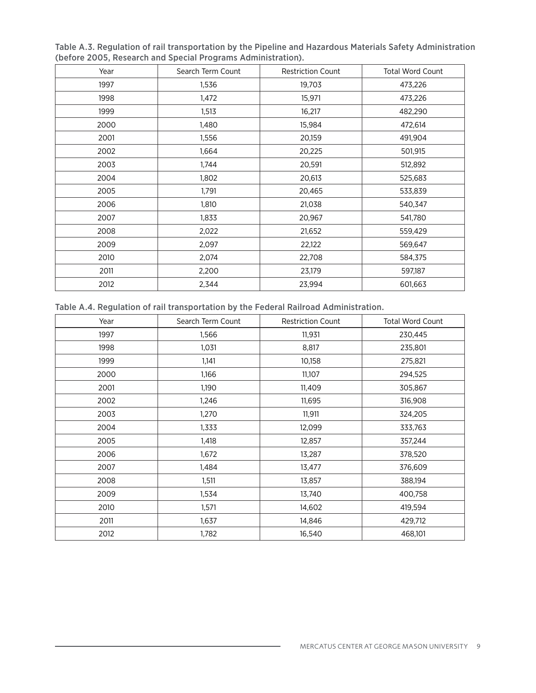| Year | Search Term Count | <b>Restriction Count</b> | <b>Total Word Count</b> |
|------|-------------------|--------------------------|-------------------------|
| 1997 | 1,536             | 19,703                   | 473,226                 |
| 1998 | 1,472             | 15,971                   | 473,226                 |
| 1999 | 1,513             | 16,217                   | 482,290                 |
| 2000 | 1,480             | 15,984                   | 472,614                 |
| 2001 | 1,556             | 20,159                   | 491,904                 |
| 2002 | 1,664             | 20,225                   | 501,915                 |
| 2003 | 1,744             | 20,591                   | 512,892                 |
| 2004 | 1,802             | 20,613                   | 525,683                 |
| 2005 | 1,791             | 20,465                   | 533,839                 |
| 2006 | 1,810             | 21,038                   | 540,347                 |
| 2007 | 1,833             | 20,967                   | 541,780                 |
| 2008 | 2,022             | 21,652                   | 559,429                 |
| 2009 | 2,097             | 22,122                   | 569,647                 |
| 2010 | 2,074             | 22,708                   | 584,375                 |
| 2011 | 2,200             | 23,179                   | 597,187                 |
| 2012 | 2,344             | 23,994                   | 601,663                 |

Table A.3. Regulation of rail transportation by the Pipeline and Hazardous Materials Safety Administration (before 2005, Research and Special Programs Administration).

Table A.4. Regulation of rail transportation by the Federal Railroad Administration.

| Year | Search Term Count | <b>Restriction Count</b> | <b>Total Word Count</b> |
|------|-------------------|--------------------------|-------------------------|
| 1997 | 1,566             | 11,931                   | 230,445                 |
| 1998 | 1,031             | 8,817                    | 235,801                 |
| 1999 | 1,141             | 10,158                   | 275,821                 |
| 2000 | 1,166             | 11,107                   | 294,525                 |
| 2001 | 1,190             | 11,409                   | 305,867                 |
| 2002 | 1,246             | 11,695                   | 316,908                 |
| 2003 | 1,270             | 11,911                   | 324,205                 |
| 2004 | 1,333             | 12,099                   | 333,763                 |
| 2005 | 1,418             | 12,857                   | 357,244                 |
| 2006 | 1,672             | 13,287                   | 378,520                 |
| 2007 | 1,484             | 13,477                   | 376,609                 |
| 2008 | 1,511             | 13,857                   | 388,194                 |
| 2009 | 1,534             | 13,740                   | 400,758                 |
| 2010 | 1,571             | 14,602                   | 419,594                 |
| 2011 | 1,637             | 14,846                   | 429,712                 |
| 2012 | 1,782             | 16,540                   | 468,101                 |